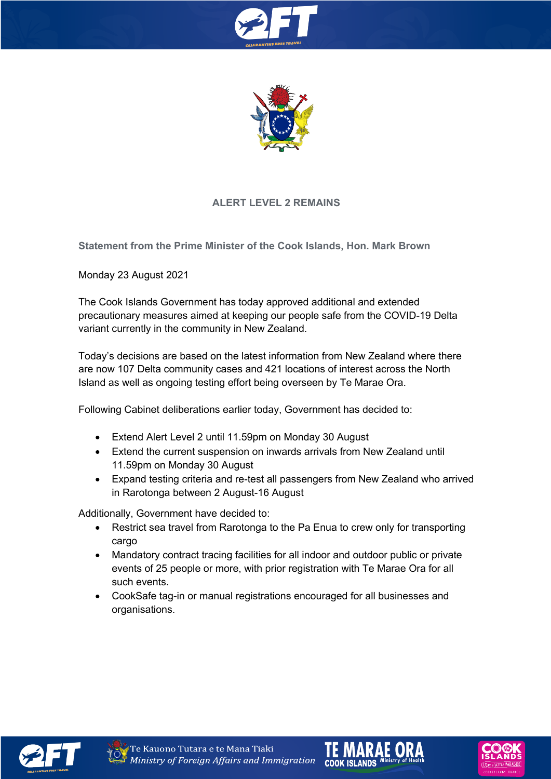



# **ALERT LEVEL 2 REMAINS**

**Statement from the Prime Minister of the Cook Islands, Hon. Mark Brown**

Monday 23 August 2021

The Cook Islands Government has today approved additional and extended precautionary measures aimed at keeping our people safe from the COVID-19 Delta variant currently in the community in New Zealand.

Today's decisions are based on the latest information from New Zealand where there are now 107 Delta community cases and 421 locations of interest across the North Island as well as ongoing testing effort being overseen by Te Marae Ora.

Following Cabinet deliberations earlier today, Government has decided to:

- Extend Alert Level 2 until 11.59pm on Monday 30 August
- Extend the current suspension on inwards arrivals from New Zealand until 11.59pm on Monday 30 August
- Expand testing criteria and re-test all passengers from New Zealand who arrived in Rarotonga between 2 August-16 August

Additionally, Government have decided to:

- Restrict sea travel from Rarotonga to the Pa Enua to crew only for transporting cargo
- Mandatory contract tracing facilities for all indoor and outdoor public or private events of 25 people or more, with prior registration with Te Marae Ora for all such events.
- CookSafe tag-in or manual registrations encouraged for all businesses and organisations.







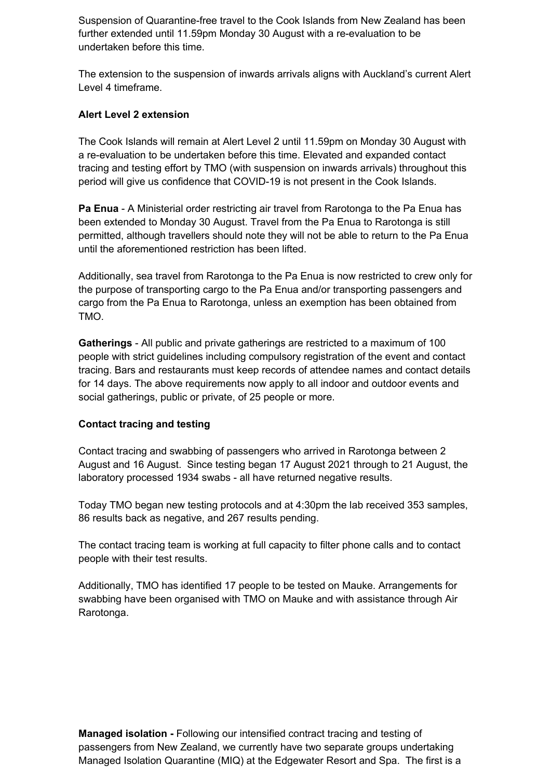Suspension of Quarantine-free travel to the Cook Islands from New Zealand has been further extended until 11.59pm Monday 30 August with a re-evaluation to be undertaken before this time.

The extension to the suspension of inwards arrivals aligns with Auckland's current Alert Level 4 timeframe.

### **Alert Level 2 extension**

The Cook Islands will remain at Alert Level 2 until 11.59pm on Monday 30 August with a re-evaluation to be undertaken before this time. Elevated and expanded contact tracing and testing effort by TMO (with suspension on inwards arrivals) throughout this period will give us confidence that COVID-19 is not present in the Cook Islands.

**Pa Enua** - A Ministerial order restricting air travel from Rarotonga to the Pa Enua has been extended to Monday 30 August. Travel from the Pa Enua to Rarotonga is still permitted, although travellers should note they will not be able to return to the Pa Enua until the aforementioned restriction has been lifted.

Additionally, sea travel from Rarotonga to the Pa Enua is now restricted to crew only for the purpose of transporting cargo to the Pa Enua and/or transporting passengers and cargo from the Pa Enua to Rarotonga, unless an exemption has been obtained from TMO.

**Gatherings** - All public and private gatherings are restricted to a maximum of 100 people with strict guidelines including compulsory registration of the event and contact tracing. Bars and restaurants must keep records of attendee names and contact details for 14 days. The above requirements now apply to all indoor and outdoor events and social gatherings, public or private, of 25 people or more.

### **Contact tracing and testing**

Contact tracing and swabbing of passengers who arrived in Rarotonga between 2 August and 16 August. Since testing began 17 August 2021 through to 21 August, the laboratory processed 1934 swabs - all have returned negative results.

Today TMO began new testing protocols and at 4:30pm the lab received 353 samples, 86 results back as negative, and 267 results pending.

The contact tracing team is working at full capacity to filter phone calls and to contact people with their test results.

Additionally, TMO has identified 17 people to be tested on Mauke. Arrangements for swabbing have been organised with TMO on Mauke and with assistance through Air Rarotonga.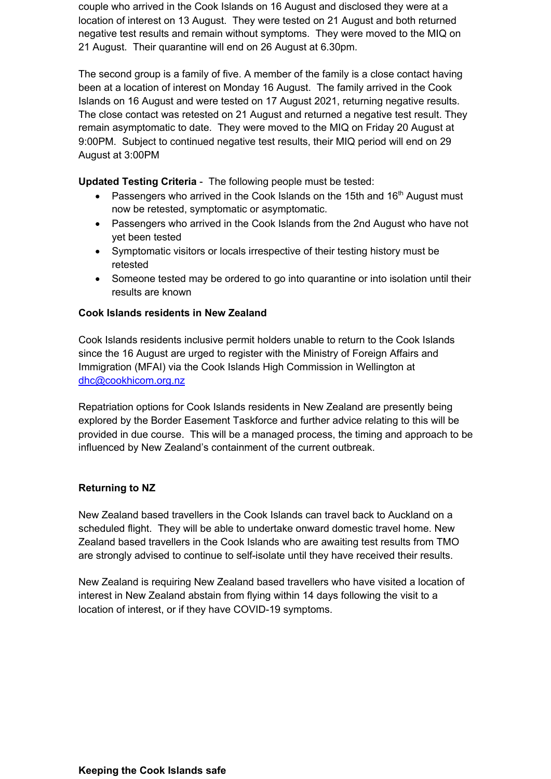couple who arrived in the Cook Islands on 16 August and disclosed they were at a location of interest on 13 August. They were tested on 21 August and both returned negative test results and remain without symptoms. They were moved to the MIQ on 21 August. Their quarantine will end on 26 August at 6.30pm.

The second group is a family of five. A member of the family is a close contact having been at a location of interest on Monday 16 August. The family arrived in the Cook Islands on 16 August and were tested on 17 August 2021, returning negative results. The close contact was retested on 21 August and returned a negative test result. They remain asymptomatic to date. They were moved to the MIQ on Friday 20 August at 9:00PM. Subject to continued negative test results, their MIQ period will end on 29 August at 3:00PM

**Updated Testing Criteria** - The following people must be tested:

- Passengers who arrived in the Cook Islands on the 15th and 16<sup>th</sup> August must now be retested, symptomatic or asymptomatic.
- Passengers who arrived in the Cook Islands from the 2nd August who have not yet been tested
- Symptomatic visitors or locals irrespective of their testing history must be retested
- Someone tested may be ordered to go into quarantine or into isolation until their results are known

## **Cook Islands residents in New Zealand**

Cook Islands residents inclusive permit holders unable to return to the Cook Islands since the 16 August are urged to register with the Ministry of Foreign Affairs and Immigration (MFAI) via the Cook Islands High Commission in Wellington at dhc@cookhicom.org.nz

Repatriation options for Cook Islands residents in New Zealand are presently being explored by the Border Easement Taskforce and further advice relating to this will be provided in due course. This will be a managed process, the timing and approach to be influenced by New Zealand's containment of the current outbreak.

### **Returning to NZ**

New Zealand based travellers in the Cook Islands can travel back to Auckland on a scheduled flight. They will be able to undertake onward domestic travel home. New Zealand based travellers in the Cook Islands who are awaiting test results from TMO are strongly advised to continue to self-isolate until they have received their results.

New Zealand is requiring New Zealand based travellers who have visited a location of interest in New Zealand abstain from flying within 14 days following the visit to a location of interest, or if they have COVID-19 symptoms.